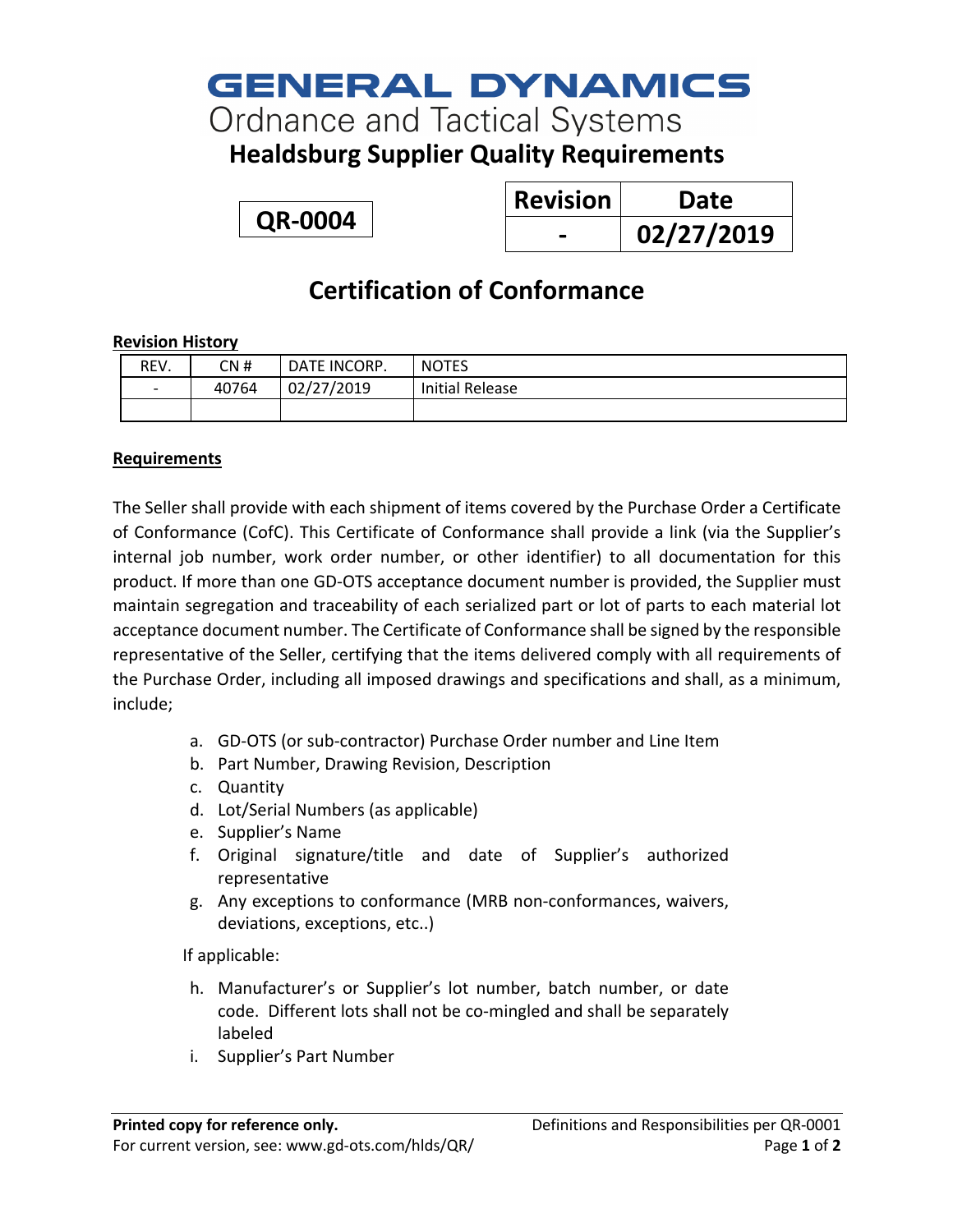# **GENERAL DYNAMICS**

**Ordnance and Tactical Systems** 

**Healdsburg Supplier Quality Requirements**

**QR-0004**

| <b>Revision</b> | Date       |
|-----------------|------------|
|                 | 02/27/2019 |

### **Certification of Conformance**

#### **Revision History**

| REV.                         | CN #  | DATE INCORP. | <b>NOTES</b>           |
|------------------------------|-------|--------------|------------------------|
| $\qquad \qquad \blacksquare$ | 40764 | 02/27/2019   | <b>Initial Release</b> |
|                              |       |              |                        |

#### **Requirements**

The Seller shall provide with each shipment of items covered by the Purchase Order a Certificate of Conformance (CofC). This Certificate of Conformance shall provide a link (via the Supplier's internal job number, work order number, or other identifier) to all documentation for this product. If more than one GD-OTS acceptance document number is provided, the Supplier must maintain segregation and traceability of each serialized part or lot of parts to each material lot acceptance document number. The Certificate of Conformance shall be signed by the responsible representative of the Seller, certifying that the items delivered comply with all requirements of the Purchase Order, including all imposed drawings and specifications and shall, as a minimum, include;

- a. GD-OTS (or sub-contractor) Purchase Order number and Line Item
- b. Part Number, Drawing Revision, Description
- c. Quantity
- d. Lot/Serial Numbers (as applicable)
- e. Supplier's Name
- f. Original signature/title and date of Supplier's authorized representative
- g. Any exceptions to conformance (MRB non-conformances, waivers, deviations, exceptions, etc..)

If applicable:

- h. Manufacturer's or Supplier's lot number, batch number, or date code. Different lots shall not be co-mingled and shall be separately labeled
- i. Supplier's Part Number